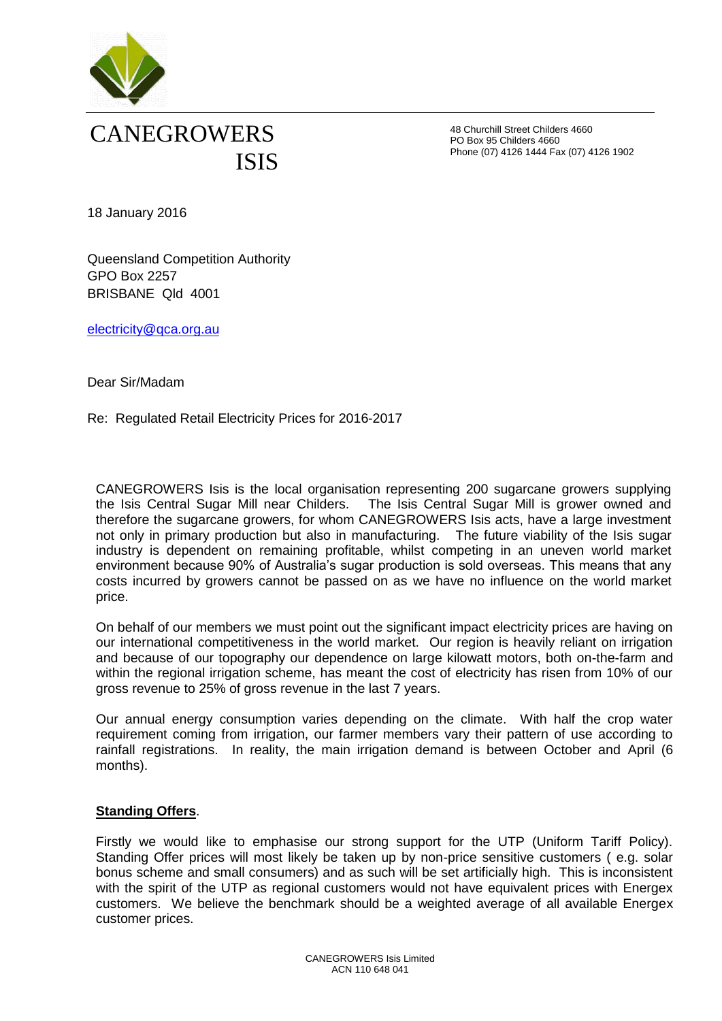

48 Churchill Street Childers 4660 PO Box 95 Childers 4660 Phone (07) 4126 1444 Fax (07) 4126 1902

18 January 2016

Queensland Competition Authority GPO Box 2257 BRISBANE Qld 4001

[electricity@qca.org.au](mailto:electricity@qca.org.au)

Dear Sir/Madam

Re: Regulated Retail Electricity Prices for 2016-2017

CANEGROWERS Isis is the local organisation representing 200 sugarcane growers supplying the Isis Central Sugar Mill near Childers. The Isis Central Sugar Mill is grower owned and therefore the sugarcane growers, for whom CANEGROWERS Isis acts, have a large investment not only in primary production but also in manufacturing. The future viability of the Isis sugar industry is dependent on remaining profitable, whilst competing in an uneven world market environment because 90% of Australia's sugar production is sold overseas. This means that any costs incurred by growers cannot be passed on as we have no influence on the world market price.

On behalf of our members we must point out the significant impact electricity prices are having on our international competitiveness in the world market. Our region is heavily reliant on irrigation and because of our topography our dependence on large kilowatt motors, both on-the-farm and within the regional irrigation scheme, has meant the cost of electricity has risen from 10% of our gross revenue to 25% of gross revenue in the last 7 years.

Our annual energy consumption varies depending on the climate. With half the crop water requirement coming from irrigation, our farmer members vary their pattern of use according to rainfall registrations. In reality, the main irrigation demand is between October and April (6 months).

#### **Standing Offers**.

Firstly we would like to emphasise our strong support for the UTP (Uniform Tariff Policy). Standing Offer prices will most likely be taken up by non-price sensitive customers ( e.g. solar bonus scheme and small consumers) and as such will be set artificially high. This is inconsistent with the spirit of the UTP as regional customers would not have equivalent prices with Energex customers. We believe the benchmark should be a weighted average of all available Energex customer prices.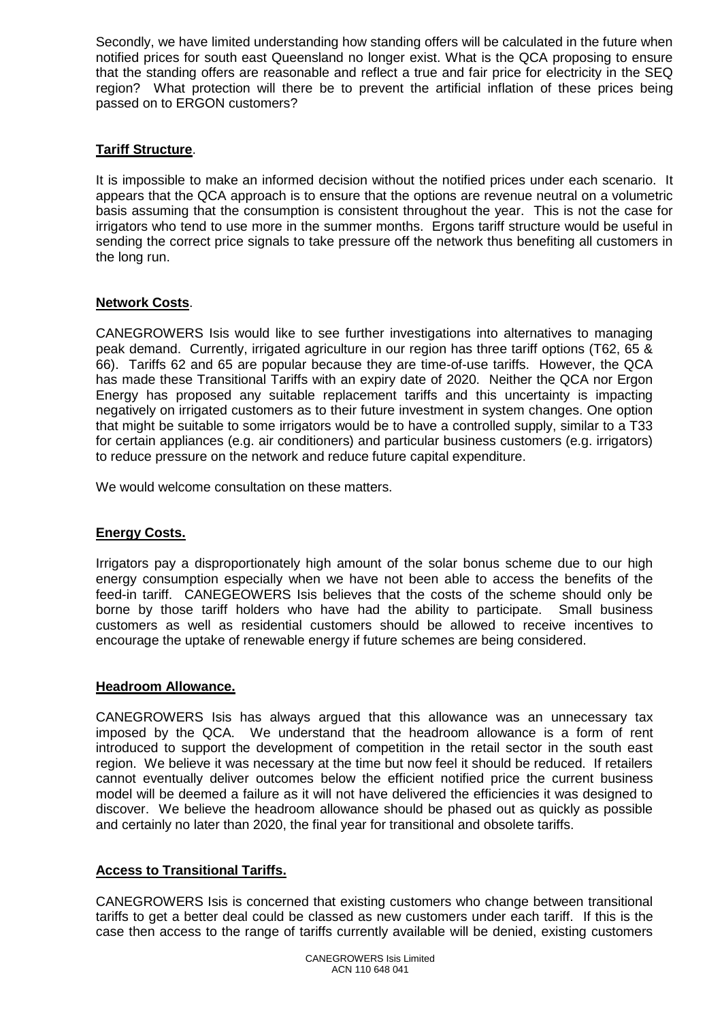Secondly, we have limited understanding how standing offers will be calculated in the future when notified prices for south east Queensland no longer exist. What is the QCA proposing to ensure that the standing offers are reasonable and reflect a true and fair price for electricity in the SEQ region? What protection will there be to prevent the artificial inflation of these prices being passed on to ERGON customers?

## **Tariff Structure**.

It is impossible to make an informed decision without the notified prices under each scenario. It appears that the QCA approach is to ensure that the options are revenue neutral on a volumetric basis assuming that the consumption is consistent throughout the year. This is not the case for irrigators who tend to use more in the summer months. Ergons tariff structure would be useful in sending the correct price signals to take pressure off the network thus benefiting all customers in the long run.

### **Network Costs**.

CANEGROWERS Isis would like to see further investigations into alternatives to managing peak demand. Currently, irrigated agriculture in our region has three tariff options (T62, 65 & 66). Tariffs 62 and 65 are popular because they are time-of-use tariffs. However, the QCA has made these Transitional Tariffs with an expiry date of 2020. Neither the QCA nor Ergon Energy has proposed any suitable replacement tariffs and this uncertainty is impacting negatively on irrigated customers as to their future investment in system changes. One option that might be suitable to some irrigators would be to have a controlled supply, similar to a T33 for certain appliances (e.g. air conditioners) and particular business customers (e.g. irrigators) to reduce pressure on the network and reduce future capital expenditure.

We would welcome consultation on these matters.

#### **Energy Costs.**

Irrigators pay a disproportionately high amount of the solar bonus scheme due to our high energy consumption especially when we have not been able to access the benefits of the feed-in tariff. CANEGEOWERS Isis believes that the costs of the scheme should only be borne by those tariff holders who have had the ability to participate. Small business customers as well as residential customers should be allowed to receive incentives to encourage the uptake of renewable energy if future schemes are being considered.

#### **Headroom Allowance.**

CANEGROWERS Isis has always argued that this allowance was an unnecessary tax imposed by the QCA. We understand that the headroom allowance is a form of rent introduced to support the development of competition in the retail sector in the south east region. We believe it was necessary at the time but now feel it should be reduced. If retailers cannot eventually deliver outcomes below the efficient notified price the current business model will be deemed a failure as it will not have delivered the efficiencies it was designed to discover. We believe the headroom allowance should be phased out as quickly as possible and certainly no later than 2020, the final year for transitional and obsolete tariffs.

# **Access to Transitional Tariffs.**

CANEGROWERS Isis is concerned that existing customers who change between transitional tariffs to get a better deal could be classed as new customers under each tariff. If this is the case then access to the range of tariffs currently available will be denied, existing customers